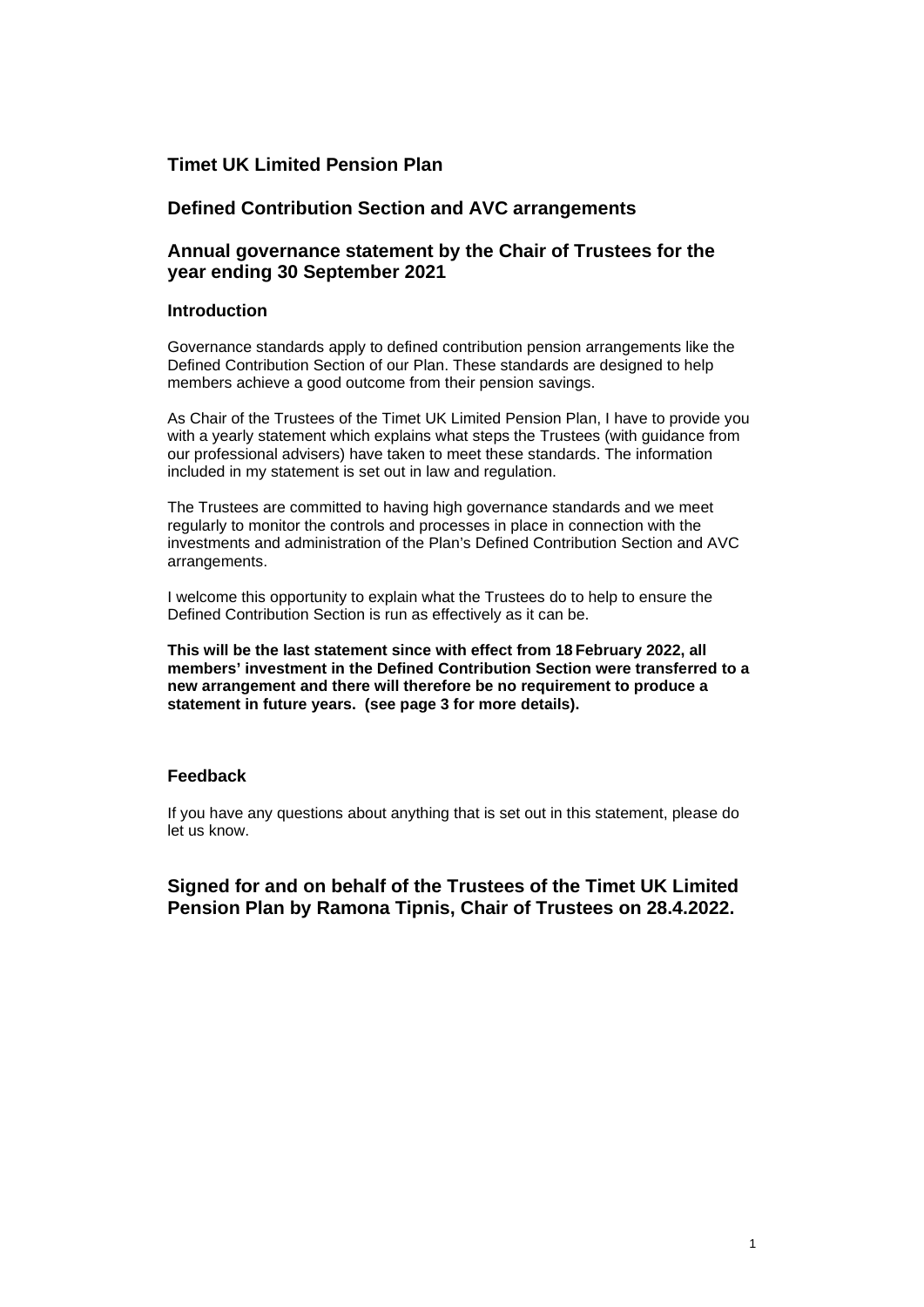# **Timet UK Limited Pension Plan**

# **Defined Contribution Section and AVC arrangements**

# **Annual governance statement by the Chair of Trustees for the year ending 30 September 2021**

## **Introduction**

Governance standards apply to defined contribution pension arrangements like the Defined Contribution Section of our Plan. These standards are designed to help members achieve a good outcome from their pension savings.

As Chair of the Trustees of the Timet UK Limited Pension Plan, I have to provide you with a yearly statement which explains what steps the Trustees (with guidance from our professional advisers) have taken to meet these standards. The information included in my statement is set out in law and regulation.

The Trustees are committed to having high governance standards and we meet regularly to monitor the controls and processes in place in connection with the investments and administration of the Plan's Defined Contribution Section and AVC arrangements.

I welcome this opportunity to explain what the Trustees do to help to ensure the Defined Contribution Section is run as effectively as it can be.

**This will be the last statement since with effect from 18 February 2022, all members' investment in the Defined Contribution Section were transferred to a new arrangement and there will therefore be no requirement to produce a statement in future years. (see page 3 for more details).**

## **Feedback**

If you have any questions about anything that is set out in this statement, please do let us know.

**Signed for and on behalf of the Trustees of the Timet UK Limited Pension Plan by Ramona Tipnis, Chair of Trustees on 28.4.2022.**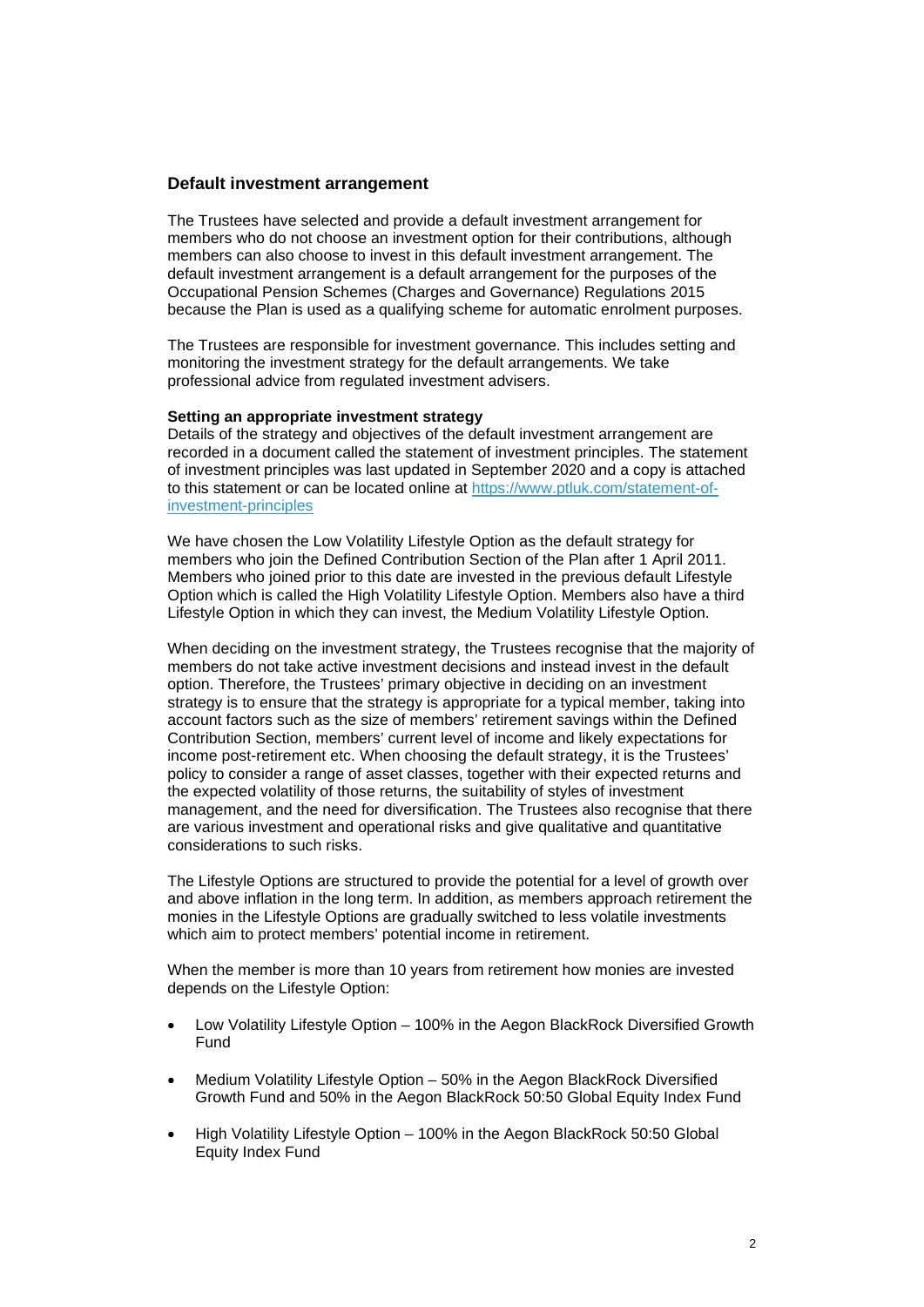## **Default investment arrangement**

The Trustees have selected and provide a default investment arrangement for members who do not choose an investment option for their contributions, although members can also choose to invest in this default investment arrangement. The default investment arrangement is a default arrangement for the purposes of the Occupational Pension Schemes (Charges and Governance) Regulations 2015 because the Plan is used as a qualifying scheme for automatic enrolment purposes.

The Trustees are responsible for investment governance. This includes setting and monitoring the investment strategy for the default arrangements. We take professional advice from regulated investment advisers.

#### **Setting an appropriate investment strategy**

Details of the strategy and objectives of the default investment arrangement are recorded in a document called the statement of investment principles. The statement of investment principles was last updated in September 2020 and a copy is attached to this statement or can be located online at [https://www.ptluk.com/statement-of](https://www.ptluk.com/statement-of-investment-principles)[investment-principles](https://www.ptluk.com/statement-of-investment-principles) 

We have chosen the Low Volatility Lifestyle Option as the default strategy for members who join the Defined Contribution Section of the Plan after 1 April 2011. Members who joined prior to this date are invested in the previous default Lifestyle Option which is called the High Volatility Lifestyle Option. Members also have a third Lifestyle Option in which they can invest, the Medium Volatility Lifestyle Option.

When deciding on the investment strategy, the Trustees recognise that the majority of members do not take active investment decisions and instead invest in the default option. Therefore, the Trustees' primary objective in deciding on an investment strategy is to ensure that the strategy is appropriate for a typical member, taking into account factors such as the size of members' retirement savings within the Defined Contribution Section, members' current level of income and likely expectations for income post-retirement etc. When choosing the default strategy, it is the Trustees' policy to consider a range of asset classes, together with their expected returns and the expected volatility of those returns, the suitability of styles of investment management, and the need for diversification. The Trustees also recognise that there are various investment and operational risks and give qualitative and quantitative considerations to such risks.

The Lifestyle Options are structured to provide the potential for a level of growth over and above inflation in the long term. In addition, as members approach retirement the monies in the Lifestyle Options are gradually switched to less volatile investments which aim to protect members' potential income in retirement.

When the member is more than 10 years from retirement how monies are invested depends on the Lifestyle Option:

- Low Volatility Lifestyle Option 100% in the Aegon BlackRock Diversified Growth Fund
- Medium Volatility Lifestyle Option 50% in the Aegon BlackRock Diversified Growth Fund and 50% in the Aegon BlackRock 50:50 Global Equity Index Fund
- High Volatility Lifestyle Option 100% in the Aegon BlackRock 50:50 Global Equity Index Fund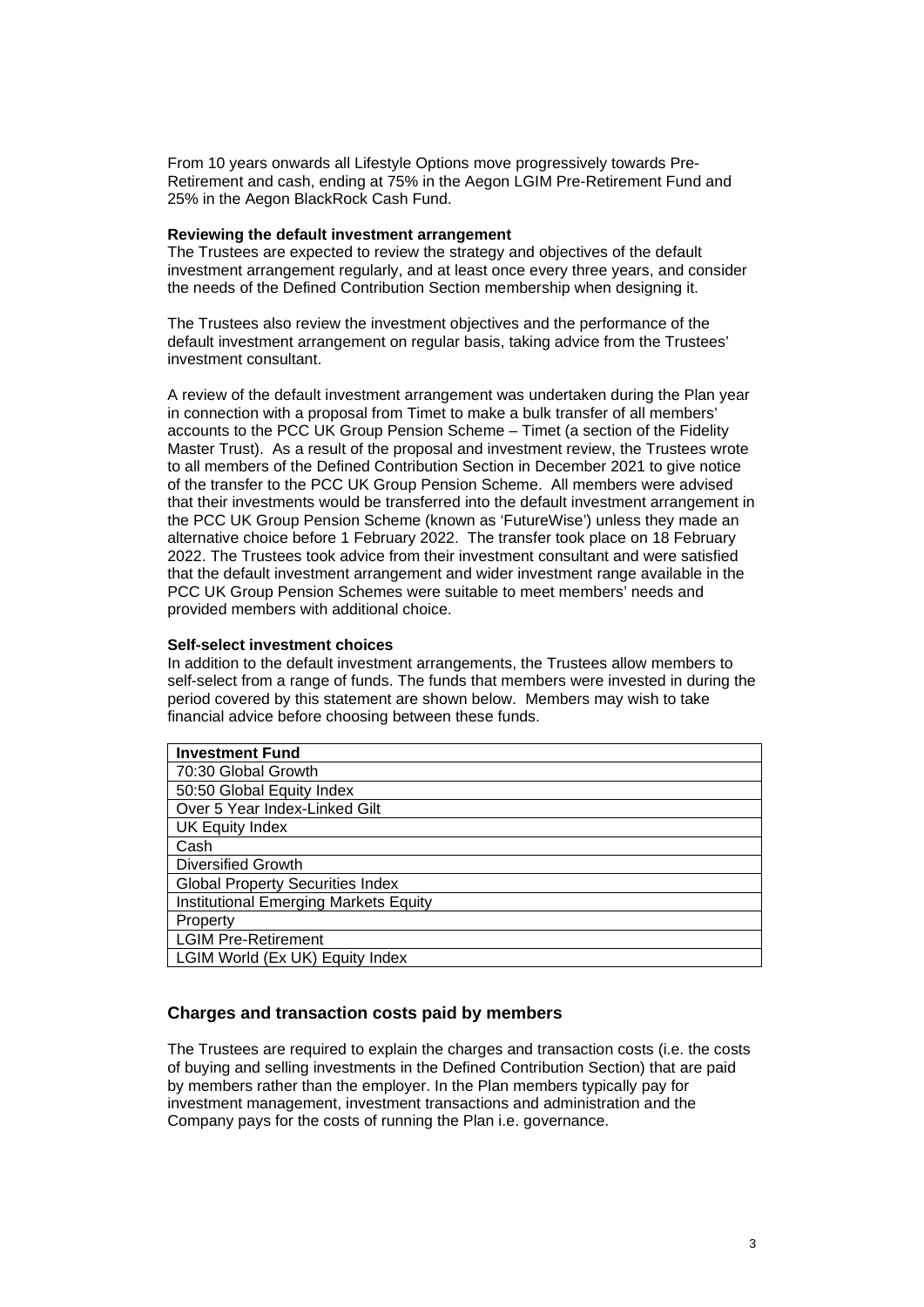From 10 years onwards all Lifestyle Options move progressively towards Pre-Retirement and cash, ending at 75% in the Aegon LGIM Pre-Retirement Fund and 25% in the Aegon BlackRock Cash Fund.

#### **Reviewing the default investment arrangement**

The Trustees are expected to review the strategy and objectives of the default investment arrangement regularly, and at least once every three years, and consider the needs of the Defined Contribution Section membership when designing it.

The Trustees also review the investment objectives and the performance of the default investment arrangement on regular basis, taking advice from the Trustees' investment consultant.

A review of the default investment arrangement was undertaken during the Plan year in connection with a proposal from Timet to make a bulk transfer of all members' accounts to the PCC UK Group Pension Scheme – Timet (a section of the Fidelity Master Trust). As a result of the proposal and investment review, the Trustees wrote to all members of the Defined Contribution Section in December 2021 to give notice of the transfer to the PCC UK Group Pension Scheme. All members were advised that their investments would be transferred into the default investment arrangement in the PCC UK Group Pension Scheme (known as 'FutureWise') unless they made an alternative choice before 1 February 2022. The transfer took place on 18 February 2022. The Trustees took advice from their investment consultant and were satisfied that the default investment arrangement and wider investment range available in the PCC UK Group Pension Schemes were suitable to meet members' needs and provided members with additional choice.

#### **Self-select investment choices**

In addition to the default investment arrangements, the Trustees allow members to self-select from a range of funds. The funds that members were invested in during the period covered by this statement are shown below. Members may wish to take financial advice before choosing between these funds.

| <b>Investment Fund</b>                       |
|----------------------------------------------|
| 70:30 Global Growth                          |
| 50:50 Global Equity Index                    |
| Over 5 Year Index-Linked Gilt                |
| <b>UK Equity Index</b>                       |
| Cash                                         |
| <b>Diversified Growth</b>                    |
| <b>Global Property Securities Index</b>      |
| <b>Institutional Emerging Markets Equity</b> |
| Property                                     |
| <b>LGIM Pre-Retirement</b>                   |
| LGIM World (Ex UK) Equity Index              |

## **Charges and transaction costs paid by members**

The Trustees are required to explain the charges and transaction costs (i.e. the costs of buying and selling investments in the Defined Contribution Section) that are paid by members rather than the employer. In the Plan members typically pay for investment management, investment transactions and administration and the Company pays for the costs of running the Plan i.e. governance.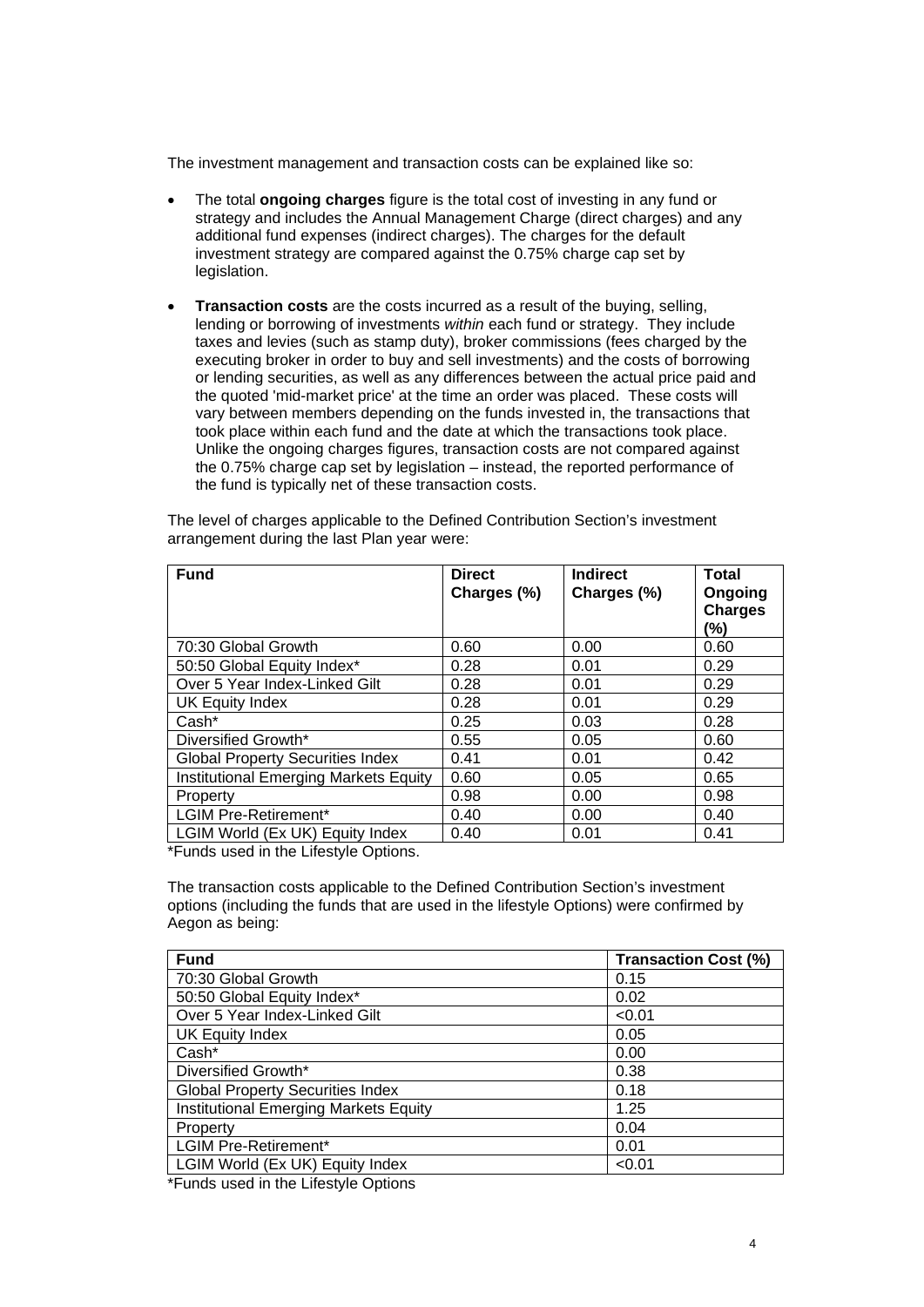The investment management and transaction costs can be explained like so:

- The total **ongoing charges** figure is the total cost of investing in any fund or strategy and includes the Annual Management Charge (direct charges) and any additional fund expenses (indirect charges). The charges for the default investment strategy are compared against the 0.75% charge cap set by legislation.
- **Transaction costs** are the costs incurred as a result of the buying, selling, lending or borrowing of investments *within* each fund or strategy. They include taxes and levies (such as stamp duty), broker commissions (fees charged by the executing broker in order to buy and sell investments) and the costs of borrowing or lending securities, as well as any differences between the actual price paid and the quoted 'mid-market price' at the time an order was placed. These costs will vary between members depending on the funds invested in, the transactions that took place within each fund and the date at which the transactions took place. Unlike the ongoing charges figures, transaction costs are not compared against the 0.75% charge cap set by legislation – instead, the reported performance of the fund is typically net of these transaction costs.

| <b>Fund</b>                                  | <b>Direct</b><br>Charges (%) | <b>Indirect</b><br>Charges (%) | <b>Total</b><br>Ongoing<br><b>Charges</b><br>(%) |
|----------------------------------------------|------------------------------|--------------------------------|--------------------------------------------------|
| 70:30 Global Growth                          | 0.60                         | 0.00                           | 0.60                                             |
| 50:50 Global Equity Index*                   | 0.28                         | 0.01                           | 0.29                                             |
| Over 5 Year Index-Linked Gilt                | 0.28                         | 0.01                           | 0.29                                             |
| UK Equity Index                              | 0.28                         | 0.01                           | 0.29                                             |
| Cash*                                        | 0.25                         | 0.03                           | 0.28                                             |
| Diversified Growth*                          | 0.55                         | 0.05                           | 0.60                                             |
| <b>Global Property Securities Index</b>      | 0.41                         | 0.01                           | 0.42                                             |
| <b>Institutional Emerging Markets Equity</b> | 0.60                         | 0.05                           | 0.65                                             |
| Property                                     | 0.98                         | 0.00                           | 0.98                                             |
| <b>LGIM Pre-Retirement*</b>                  | 0.40                         | 0.00                           | 0.40                                             |
| LGIM World (Ex UK) Equity Index              | 0.40                         | 0.01                           | 0.41                                             |

The level of charges applicable to the Defined Contribution Section's investment arrangement during the last Plan year were:

\*Funds used in the Lifestyle Options.

The transaction costs applicable to the Defined Contribution Section's investment options (including the funds that are used in the lifestyle Options) were confirmed by Aegon as being:

| <b>Fund</b>                             | <b>Transaction Cost (%)</b> |
|-----------------------------------------|-----------------------------|
| 70:30 Global Growth                     | 0.15                        |
| 50:50 Global Equity Index*              | 0.02                        |
| Over 5 Year Index-Linked Gilt           | < 0.01                      |
| <b>UK Equity Index</b>                  | 0.05                        |
| Cash*                                   | 0.00                        |
| Diversified Growth*                     | 0.38                        |
| <b>Global Property Securities Index</b> | 0.18                        |
| Institutional Emerging Markets Equity   | 1.25                        |
| Property                                | 0.04                        |
| <b>LGIM Pre-Retirement*</b>             | 0.01                        |
| LGIM World (Ex UK) Equity Index         | < 0.01                      |

\*Funds used in the Lifestyle Options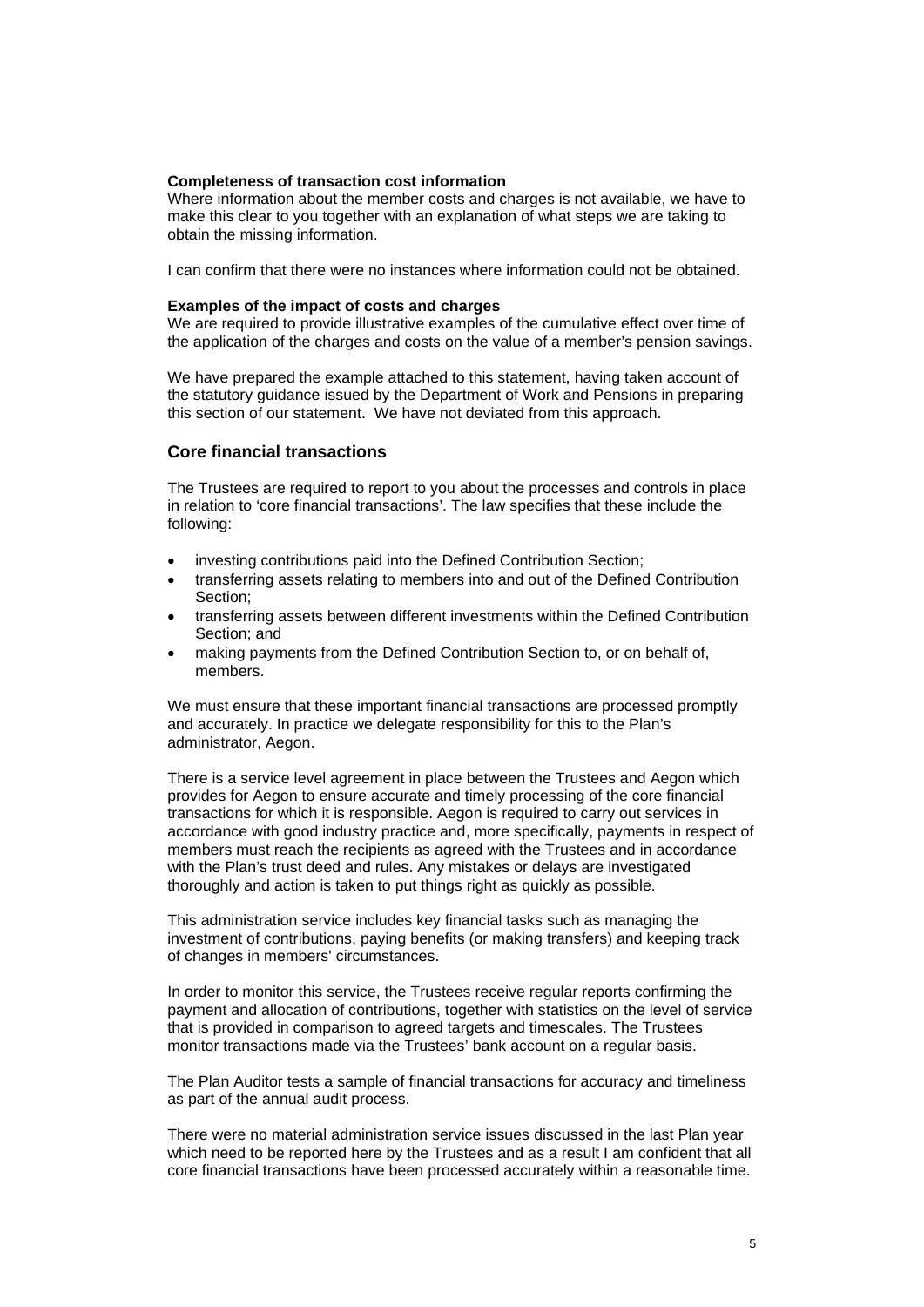#### **Completeness of transaction cost information**

Where information about the member costs and charges is not available, we have to make this clear to you together with an explanation of what steps we are taking to obtain the missing information.

I can confirm that there were no instances where information could not be obtained.

#### **Examples of the impact of costs and charges**

We are required to provide illustrative examples of the cumulative effect over time of the application of the charges and costs on the value of a member's pension savings.

We have prepared the example attached to this statement, having taken account of the statutory guidance issued by the Department of Work and Pensions in preparing this section of our statement. We have not deviated from this approach.

### **Core financial transactions**

The Trustees are required to report to you about the processes and controls in place in relation to 'core financial transactions'. The law specifies that these include the following:

- investing contributions paid into the Defined Contribution Section:
- transferring assets relating to members into and out of the Defined Contribution Section;
- transferring assets between different investments within the Defined Contribution Section; and
- making payments from the Defined Contribution Section to, or on behalf of, members.

We must ensure that these important financial transactions are processed promptly and accurately. In practice we delegate responsibility for this to the Plan's administrator, Aegon.

There is a service level agreement in place between the Trustees and Aegon which provides for Aegon to ensure accurate and timely processing of the core financial transactions for which it is responsible. Aegon is required to carry out services in accordance with good industry practice and, more specifically, payments in respect of members must reach the recipients as agreed with the Trustees and in accordance with the Plan's trust deed and rules. Any mistakes or delays are investigated thoroughly and action is taken to put things right as quickly as possible.

This administration service includes key financial tasks such as managing the investment of contributions, paying benefits (or making transfers) and keeping track of changes in members' circumstances.

In order to monitor this service, the Trustees receive regular reports confirming the payment and allocation of contributions, together with statistics on the level of service that is provided in comparison to agreed targets and timescales. The Trustees monitor transactions made via the Trustees' bank account on a regular basis.

The Plan Auditor tests a sample of financial transactions for accuracy and timeliness as part of the annual audit process.

There were no material administration service issues discussed in the last Plan year which need to be reported here by the Trustees and as a result I am confident that all core financial transactions have been processed accurately within a reasonable time.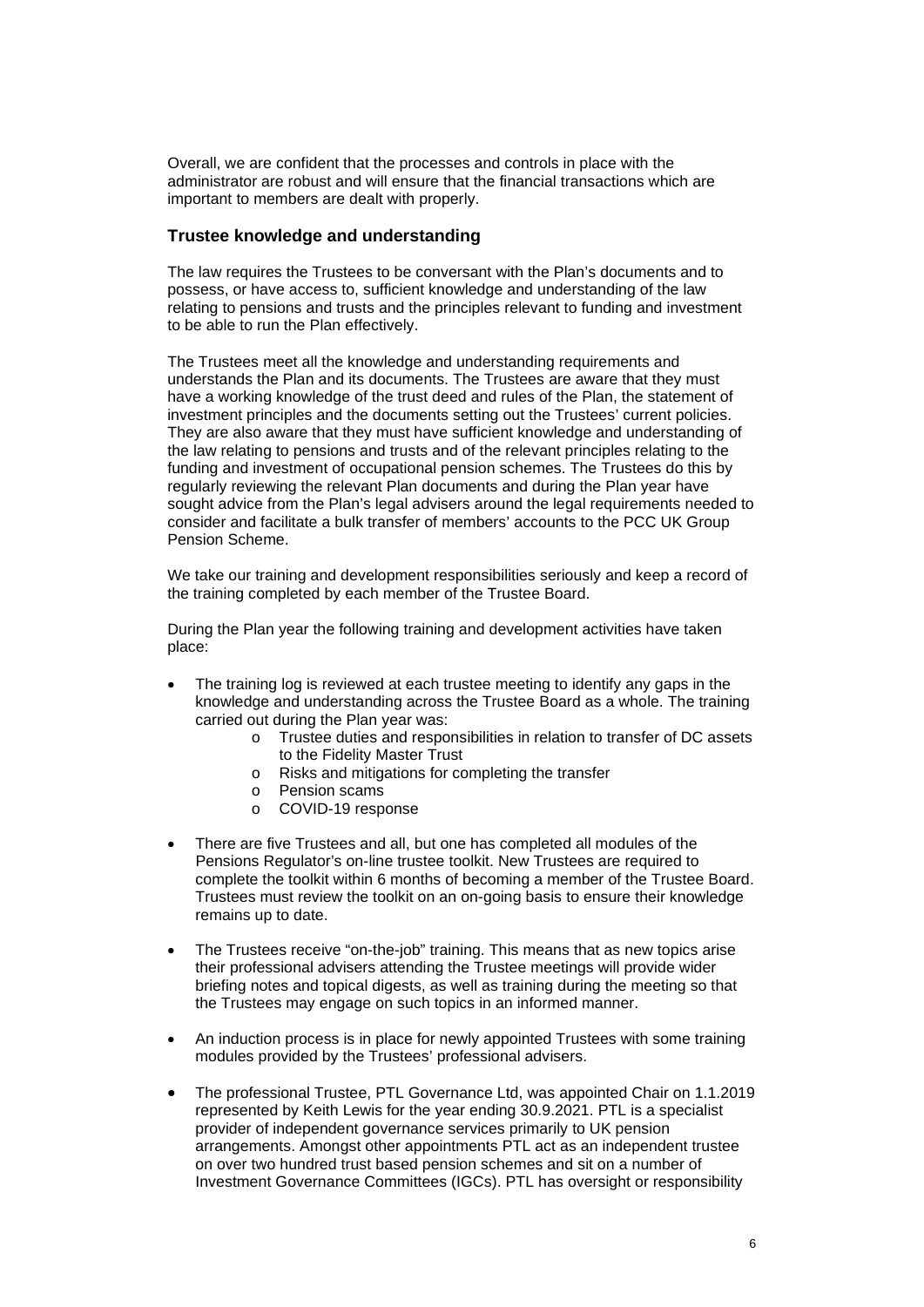Overall, we are confident that the processes and controls in place with the administrator are robust and will ensure that the financial transactions which are important to members are dealt with properly.

## **Trustee knowledge and understanding**

The law requires the Trustees to be conversant with the Plan's documents and to possess, or have access to, sufficient knowledge and understanding of the law relating to pensions and trusts and the principles relevant to funding and investment to be able to run the Plan effectively.

The Trustees meet all the knowledge and understanding requirements and understands the Plan and its documents. The Trustees are aware that they must have a working knowledge of the trust deed and rules of the Plan, the statement of investment principles and the documents setting out the Trustees' current policies. They are also aware that they must have sufficient knowledge and understanding of the law relating to pensions and trusts and of the relevant principles relating to the funding and investment of occupational pension schemes. The Trustees do this by regularly reviewing the relevant Plan documents and during the Plan year have sought advice from the Plan's legal advisers around the legal requirements needed to consider and facilitate a bulk transfer of members' accounts to the PCC UK Group Pension Scheme.

We take our training and development responsibilities seriously and keep a record of the training completed by each member of the Trustee Board.

During the Plan year the following training and development activities have taken place:

- The training log is reviewed at each trustee meeting to identify any gaps in the knowledge and understanding across the Trustee Board as a whole. The training carried out during the Plan year was:
	- o Trustee duties and responsibilities in relation to transfer of DC assets to the Fidelity Master Trust
	- o Risks and mitigations for completing the transfer
	- o Pension scams
	- o COVID-19 response
- There are five Trustees and all, but one has completed all modules of the Pensions Regulator's on-line trustee toolkit. New Trustees are required to complete the toolkit within 6 months of becoming a member of the Trustee Board. Trustees must review the toolkit on an on-going basis to ensure their knowledge remains up to date.
- The Trustees receive "on-the-job" training. This means that as new topics arise their professional advisers attending the Trustee meetings will provide wider briefing notes and topical digests, as well as training during the meeting so that the Trustees may engage on such topics in an informed manner.
- An induction process is in place for newly appointed Trustees with some training modules provided by the Trustees' professional advisers.
- The professional Trustee, PTL Governance Ltd, was appointed Chair on 1.1.2019 represented by Keith Lewis for the year ending 30.9.2021. PTL is a specialist provider of independent governance services primarily to UK pension arrangements. Amongst other appointments PTL act as an independent trustee on over two hundred trust based pension schemes and sit on a number of Investment Governance Committees (IGCs). PTL has oversight or responsibility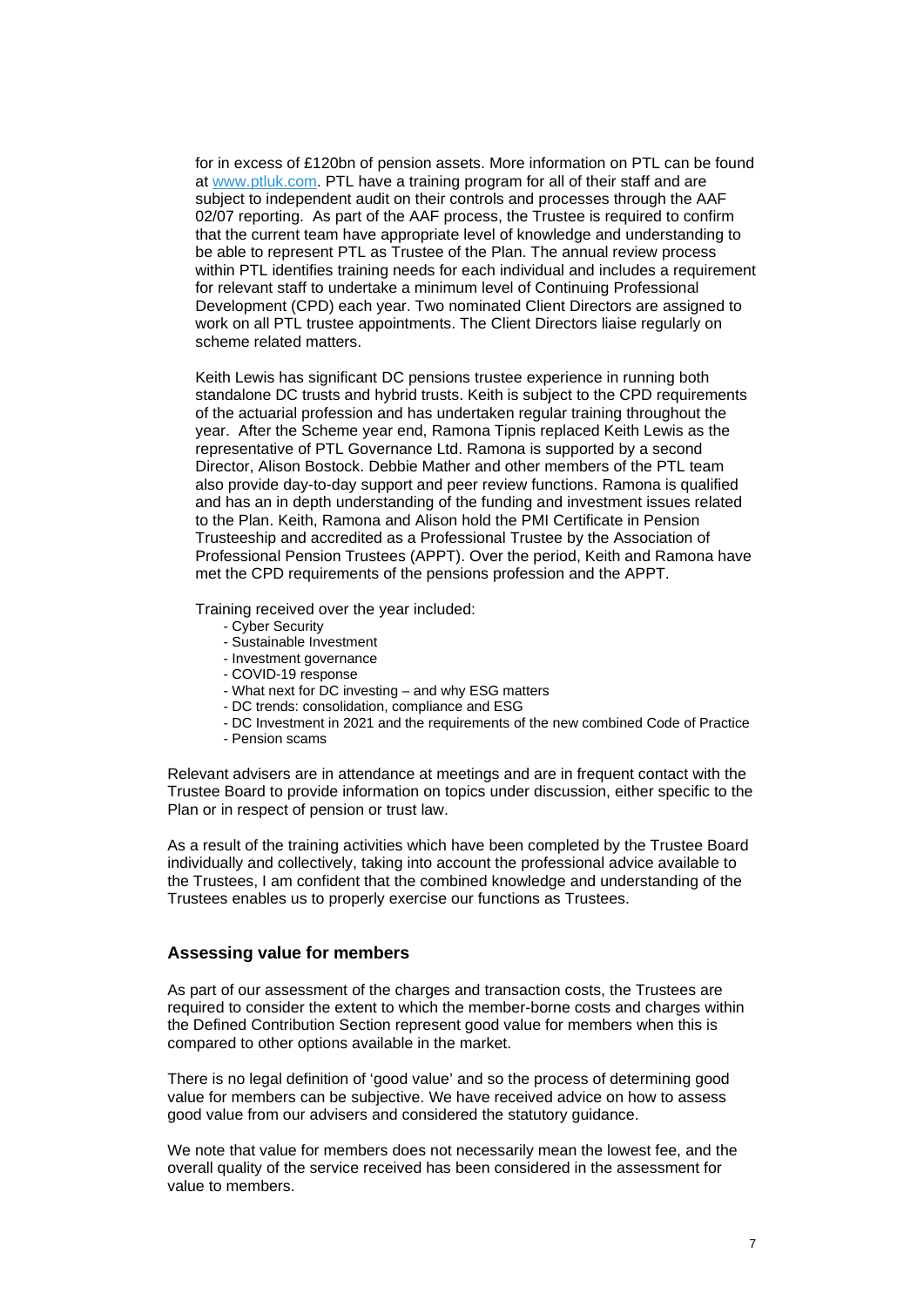for in excess of £120bn of pension assets. More information on PTL can be found at [www.ptluk.com.](http://www.ptluk.com/) PTL have a training program for all of their staff and are subject to independent audit on their controls and processes through the AAF 02/07 reporting. As part of the AAF process, the Trustee is required to confirm that the current team have appropriate level of knowledge and understanding to be able to represent PTL as Trustee of the Plan. The annual review process within PTL identifies training needs for each individual and includes a requirement for relevant staff to undertake a minimum level of Continuing Professional Development (CPD) each year. Two nominated Client Directors are assigned to work on all PTL trustee appointments. The Client Directors liaise regularly on scheme related matters.

Keith Lewis has significant DC pensions trustee experience in running both standalone DC trusts and hybrid trusts. Keith is subject to the CPD requirements of the actuarial profession and has undertaken regular training throughout the year. After the Scheme year end, Ramona Tipnis replaced Keith Lewis as the representative of PTL Governance Ltd. Ramona is supported by a second Director, Alison Bostock. Debbie Mather and other members of the PTL team also provide day-to-day support and peer review functions. Ramona is qualified and has an in depth understanding of the funding and investment issues related to the Plan. Keith, Ramona and Alison hold the PMI Certificate in Pension Trusteeship and accredited as a Professional Trustee by the Association of Professional Pension Trustees (APPT). Over the period, Keith and Ramona have met the CPD requirements of the pensions profession and the APPT.

Training received over the year included:

- Cyber Security
- Sustainable Investment
- Investment governance
- COVID-19 response
- What next for DC investing and why ESG matters
- DC trends: consolidation, compliance and ESG
- DC Investment in 2021 and the requirements of the new combined Code of Practice
- Pension scams

Relevant advisers are in attendance at meetings and are in frequent contact with the Trustee Board to provide information on topics under discussion, either specific to the Plan or in respect of pension or trust law.

As a result of the training activities which have been completed by the Trustee Board individually and collectively, taking into account the professional advice available to the Trustees, I am confident that the combined knowledge and understanding of the Trustees enables us to properly exercise our functions as Trustees.

## **Assessing value for members**

As part of our assessment of the charges and transaction costs, the Trustees are required to consider the extent to which the member-borne costs and charges within the Defined Contribution Section represent good value for members when this is compared to other options available in the market.

There is no legal definition of 'good value' and so the process of determining good value for members can be subjective. We have received advice on how to assess good value from our advisers and considered the statutory guidance.

We note that value for members does not necessarily mean the lowest fee, and the overall quality of the service received has been considered in the assessment for value to members.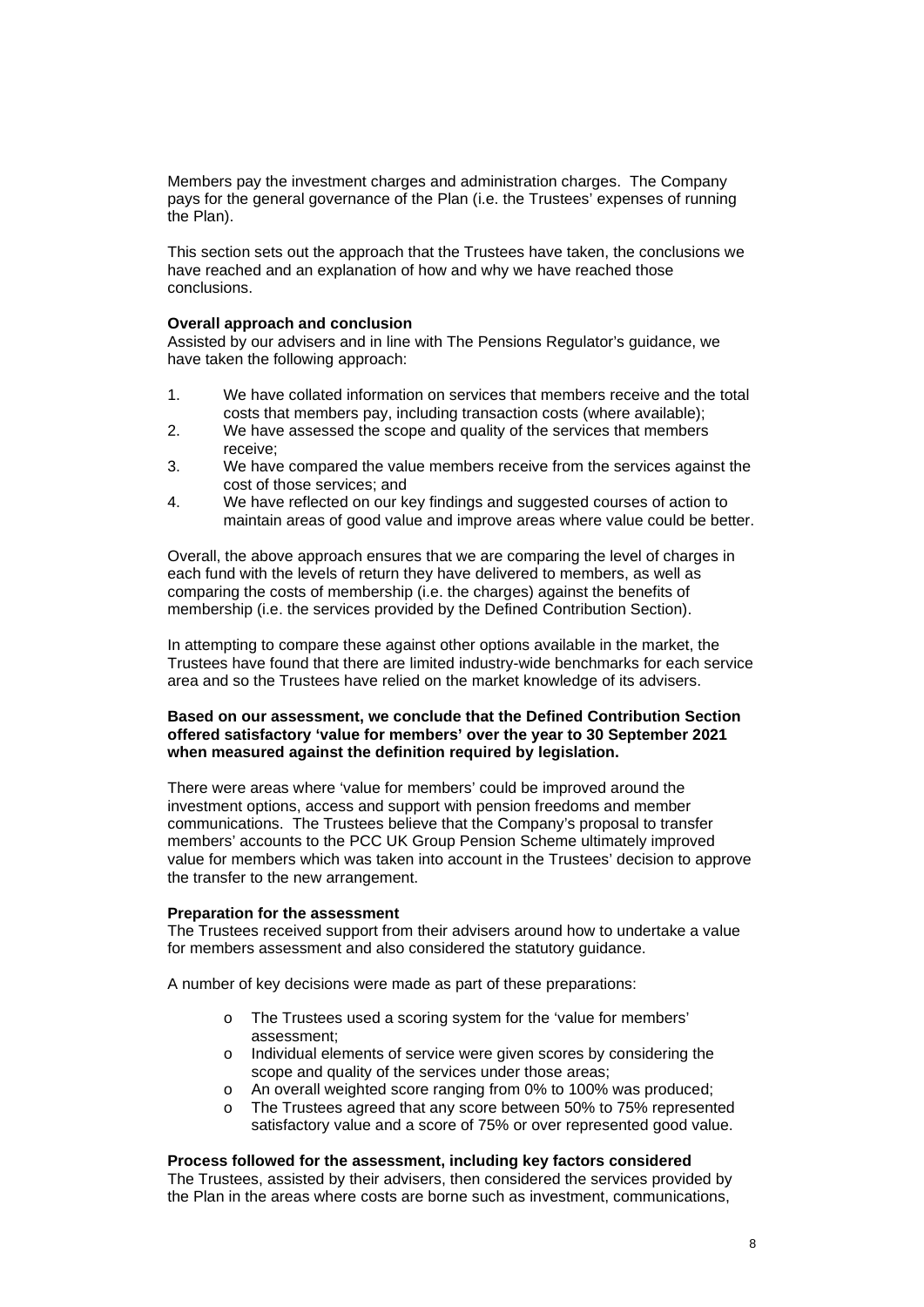Members pay the investment charges and administration charges. The Company pays for the general governance of the Plan (i.e. the Trustees' expenses of running the Plan).

This section sets out the approach that the Trustees have taken, the conclusions we have reached and an explanation of how and why we have reached those conclusions.

## **Overall approach and conclusion**

Assisted by our advisers and in line with The Pensions Regulator's guidance, we have taken the following approach:

- 1. We have collated information on services that members receive and the total costs that members pay, including transaction costs (where available);
- 2. We have assessed the scope and quality of the services that members receive;
- 3. We have compared the value members receive from the services against the cost of those services; and
- 4. We have reflected on our key findings and suggested courses of action to maintain areas of good value and improve areas where value could be better.

Overall, the above approach ensures that we are comparing the level of charges in each fund with the levels of return they have delivered to members, as well as comparing the costs of membership (i.e. the charges) against the benefits of membership (i.e. the services provided by the Defined Contribution Section).

In attempting to compare these against other options available in the market, the Trustees have found that there are limited industry-wide benchmarks for each service area and so the Trustees have relied on the market knowledge of its advisers.

## **Based on our assessment, we conclude that the Defined Contribution Section offered satisfactory 'value for members' over the year to 30 September 2021 when measured against the definition required by legislation.**

There were areas where 'value for members' could be improved around the investment options, access and support with pension freedoms and member communications. The Trustees believe that the Company's proposal to transfer members' accounts to the PCC UK Group Pension Scheme ultimately improved value for members which was taken into account in the Trustees' decision to approve the transfer to the new arrangement.

### **Preparation for the assessment**

The Trustees received support from their advisers around how to undertake a value for members assessment and also considered the statutory guidance.

A number of key decisions were made as part of these preparations:

- o The Trustees used a scoring system for the 'value for members' assessment;
- o Individual elements of service were given scores by considering the scope and quality of the services under those areas;
- o An overall weighted score ranging from 0% to 100% was produced;<br>o The Trustees agreed that any score between 50% to 75% represent
- The Trustees agreed that any score between 50% to 75% represented satisfactory value and a score of 75% or over represented good value.

#### **Process followed for the assessment, including key factors considered**

The Trustees, assisted by their advisers, then considered the services provided by the Plan in the areas where costs are borne such as investment, communications,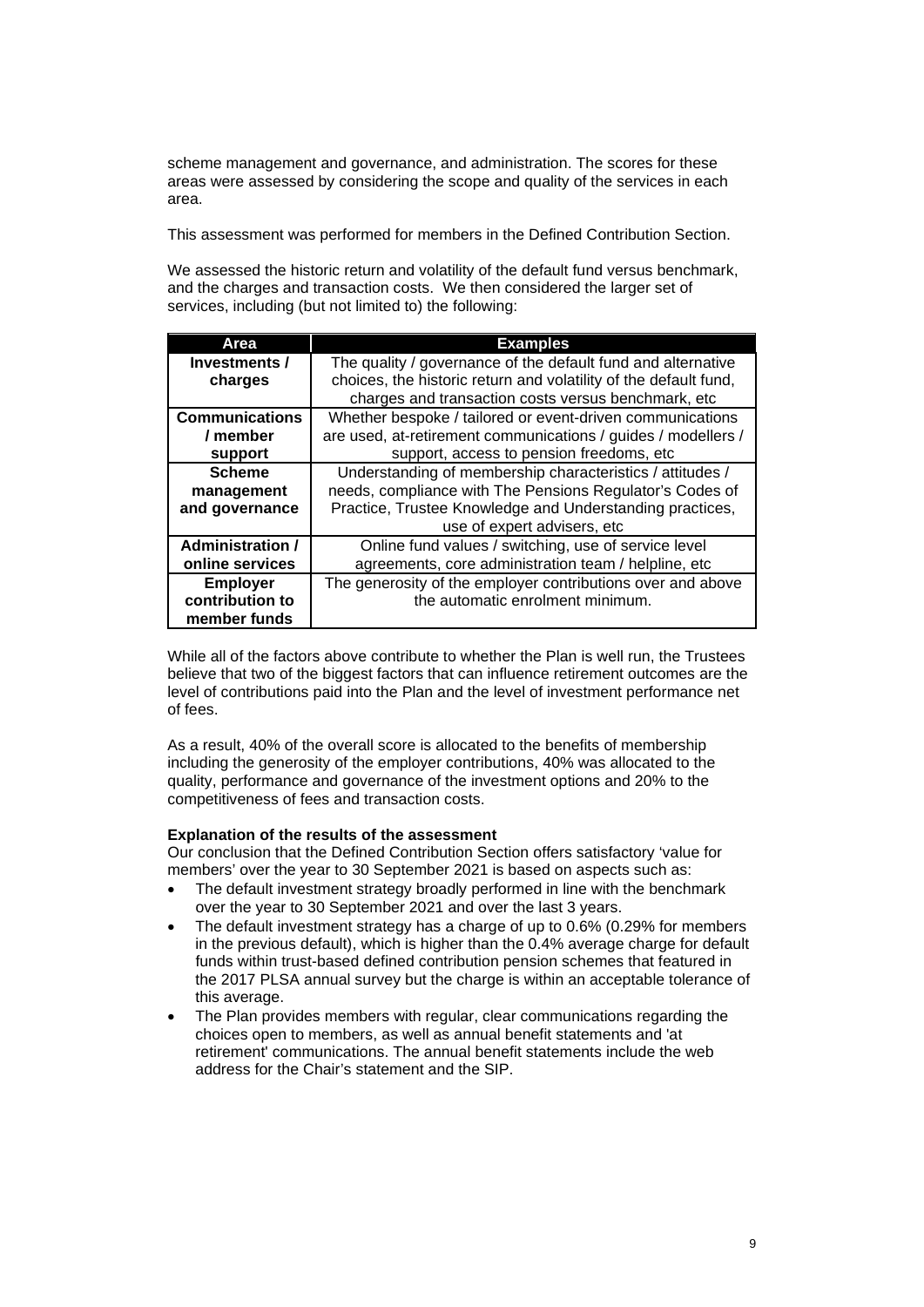scheme management and governance, and administration. The scores for these areas were assessed by considering the scope and quality of the services in each area.

This assessment was performed for members in the Defined Contribution Section.

We assessed the historic return and volatility of the default fund versus benchmark, and the charges and transaction costs. We then considered the larger set of services, including (but not limited to) the following:

| Area                                               | <b>Examples</b>                                                                                                                                                                                                  |
|----------------------------------------------------|------------------------------------------------------------------------------------------------------------------------------------------------------------------------------------------------------------------|
| Investments /<br>charges                           | The quality / governance of the default fund and alternative<br>choices, the historic return and volatility of the default fund,<br>charges and transaction costs versus benchmark, etc                          |
| <b>Communications</b><br>/ member<br>support       | Whether bespoke / tailored or event-driven communications<br>are used, at-retirement communications / guides / modellers /<br>support, access to pension freedoms, etc                                           |
| <b>Scheme</b><br>management<br>and governance      | Understanding of membership characteristics / attitudes /<br>needs, compliance with The Pensions Regulator's Codes of<br>Practice, Trustee Knowledge and Understanding practices,<br>use of expert advisers, etc |
| <b>Administration /</b><br>online services         | Online fund values / switching, use of service level<br>agreements, core administration team / helpline, etc                                                                                                     |
| <b>Employer</b><br>contribution to<br>member funds | The generosity of the employer contributions over and above<br>the automatic enrolment minimum.                                                                                                                  |

While all of the factors above contribute to whether the Plan is well run, the Trustees believe that two of the biggest factors that can influence retirement outcomes are the level of contributions paid into the Plan and the level of investment performance net of fees.

As a result, 40% of the overall score is allocated to the benefits of membership including the generosity of the employer contributions, 40% was allocated to the quality, performance and governance of the investment options and 20% to the competitiveness of fees and transaction costs.

### **Explanation of the results of the assessment**

Our conclusion that the Defined Contribution Section offers satisfactory 'value for members' over the year to 30 September 2021 is based on aspects such as:

- The default investment strategy broadly performed in line with the benchmark over the year to 30 September 2021 and over the last 3 years.
- The default investment strategy has a charge of up to 0.6% (0.29% for members in the previous default), which is higher than the 0.4% average charge for default funds within trust-based defined contribution pension schemes that featured in the 2017 PLSA annual survey but the charge is within an acceptable tolerance of this average.
- The Plan provides members with regular, clear communications regarding the choices open to members, as well as annual benefit statements and 'at retirement' communications. The annual benefit statements include the web address for the Chair's statement and the SIP.